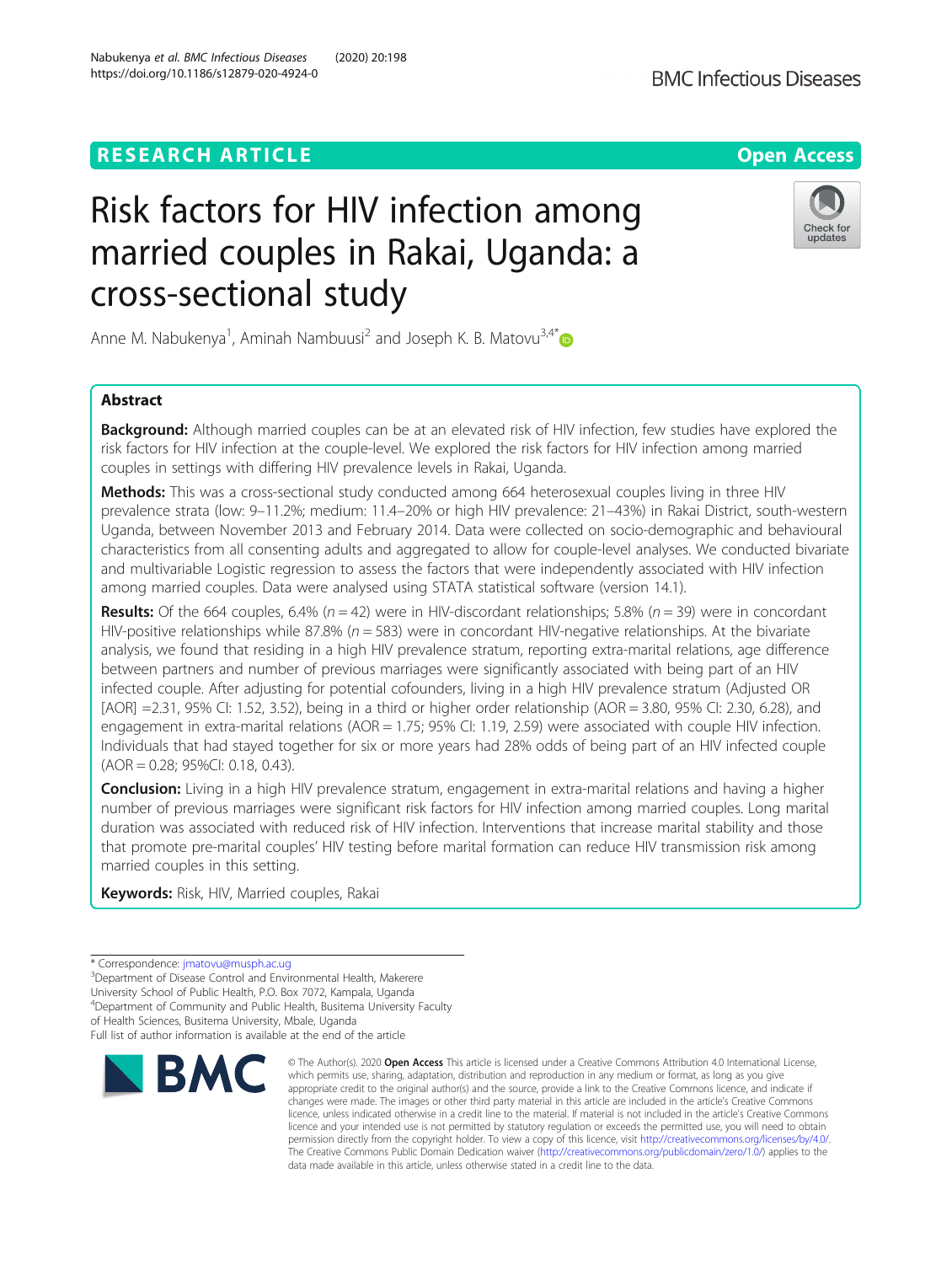# **RESEARCH ARTICLE Example 2014 12:30 The Open Access**

# Risk factors for HIV infection among married couples in Rakai, Uganda: a cross-sectional study

Anne M. Nabukenya<sup>1</sup>, Aminah Nambuusi<sup>2</sup> and Joseph K. B. Matovu<sup>3,4\*</sup>

# Abstract

Background: Although married couples can be at an elevated risk of HIV infection, few studies have explored the risk factors for HIV infection at the couple-level. We explored the risk factors for HIV infection among married couples in settings with differing HIV prevalence levels in Rakai, Uganda.

Methods: This was a cross-sectional study conducted among 664 heterosexual couples living in three HIV prevalence strata (low: 9–11.2%; medium: 11.4–20% or high HIV prevalence: 21–43%) in Rakai District, south-western Uganda, between November 2013 and February 2014. Data were collected on socio-demographic and behavioural characteristics from all consenting adults and aggregated to allow for couple-level analyses. We conducted bivariate and multivariable Logistic regression to assess the factors that were independently associated with HIV infection among married couples. Data were analysed using STATA statistical software (version 14.1).

**Results:** Of the 664 couples, 6.4% ( $n = 42$ ) were in HIV-discordant relationships; 5.8% ( $n = 39$ ) were in concordant HIV-positive relationships while 87.8% ( $n = 583$ ) were in concordant HIV-negative relationships. At the bivariate analysis, we found that residing in a high HIV prevalence stratum, reporting extra-marital relations, age difference between partners and number of previous marriages were significantly associated with being part of an HIV infected couple. After adjusting for potential cofounders, living in a high HIV prevalence stratum (Adjusted OR [AOR] =2.31, 95% CI: 1.52, 3.52), being in a third or higher order relationship (AOR = 3.80, 95% CI: 2.30, 6.28), and engagement in extra-marital relations (AOR = 1.75; 95% CI: 1.19, 2.59) were associated with couple HIV infection. Individuals that had stayed together for six or more years had 28% odds of being part of an HIV infected couple (AOR = 0.28; 95%CI: 0.18, 0.43).

Conclusion: Living in a high HIV prevalence stratum, engagement in extra-marital relations and having a higher number of previous marriages were significant risk factors for HIV infection among married couples. Long marital duration was associated with reduced risk of HIV infection. Interventions that increase marital stability and those that promote pre-marital couples' HIV testing before marital formation can reduce HIV transmission risk among married couples in this setting.

Keywords: Risk, HIV, Married couples, Rakai

**BMC** 

Full list of author information is available at the end of the article

© The Author(s), 2020 **Open Access** This article is licensed under a Creative Commons Attribution 4.0 International License, which permits use, sharing, adaptation, distribution and reproduction in any medium or format, as long as you give





<sup>\*</sup> Correspondence: [jmatovu@musph.ac.ug](mailto:jmatovu@musph.ac.ug) <sup>3</sup>

<sup>&</sup>lt;sup>3</sup>Department of Disease Control and Environmental Health, Makerere University School of Public Health, P.O. Box 7072, Kampala, Uganda

<sup>4</sup> Department of Community and Public Health, Busitema University Faculty

of Health Sciences, Busitema University, Mbale, Uganda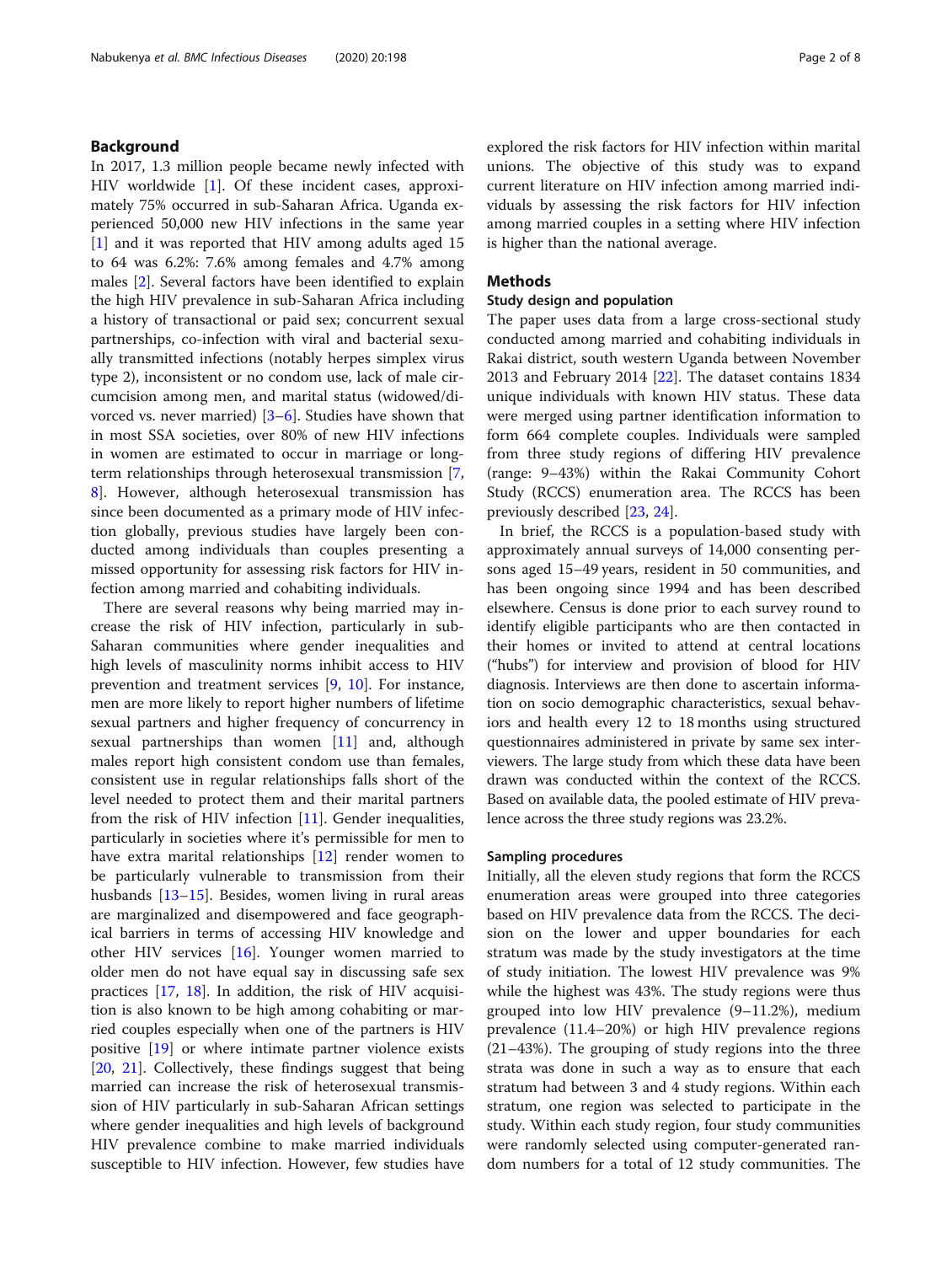# Background

In 2017, 1.3 million people became newly infected with HIV worldwide [[1\]](#page-7-0). Of these incident cases, approximately 75% occurred in sub-Saharan Africa. Uganda experienced 50,000 new HIV infections in the same year [[1\]](#page-7-0) and it was reported that HIV among adults aged 15 to 64 was 6.2%: 7.6% among females and 4.7% among males [[2](#page-7-0)]. Several factors have been identified to explain the high HIV prevalence in sub-Saharan Africa including a history of transactional or paid sex; concurrent sexual partnerships, co-infection with viral and bacterial sexually transmitted infections (notably herpes simplex virus type 2), inconsistent or no condom use, lack of male circumcision among men, and marital status (widowed/divorced vs. never married)  $[3-6]$  $[3-6]$  $[3-6]$ . Studies have shown that in most SSA societies, over 80% of new HIV infections in women are estimated to occur in marriage or longterm relationships through heterosexual transmission [\[7](#page-7-0), [8\]](#page-7-0). However, although heterosexual transmission has since been documented as a primary mode of HIV infection globally, previous studies have largely been conducted among individuals than couples presenting a missed opportunity for assessing risk factors for HIV infection among married and cohabiting individuals.

There are several reasons why being married may increase the risk of HIV infection, particularly in sub-Saharan communities where gender inequalities and high levels of masculinity norms inhibit access to HIV prevention and treatment services [[9](#page-7-0), [10\]](#page-7-0). For instance, men are more likely to report higher numbers of lifetime sexual partners and higher frequency of concurrency in sexual partnerships than women [[11\]](#page-7-0) and, although males report high consistent condom use than females, consistent use in regular relationships falls short of the level needed to protect them and their marital partners from the risk of HIV infection [[11\]](#page-7-0). Gender inequalities, particularly in societies where it's permissible for men to have extra marital relationships [\[12](#page-7-0)] render women to be particularly vulnerable to transmission from their husbands [\[13](#page-7-0)–[15\]](#page-7-0). Besides, women living in rural areas are marginalized and disempowered and face geographical barriers in terms of accessing HIV knowledge and other HIV services [[16](#page-7-0)]. Younger women married to older men do not have equal say in discussing safe sex practices [\[17,](#page-7-0) [18](#page-7-0)]. In addition, the risk of HIV acquisition is also known to be high among cohabiting or married couples especially when one of the partners is HIV positive [[19\]](#page-7-0) or where intimate partner violence exists [[20,](#page-7-0) [21](#page-7-0)]. Collectively, these findings suggest that being married can increase the risk of heterosexual transmission of HIV particularly in sub-Saharan African settings where gender inequalities and high levels of background HIV prevalence combine to make married individuals susceptible to HIV infection. However, few studies have

explored the risk factors for HIV infection within marital unions. The objective of this study was to expand current literature on HIV infection among married individuals by assessing the risk factors for HIV infection among married couples in a setting where HIV infection is higher than the national average.

### Methods

#### Study design and population

The paper uses data from a large cross-sectional study conducted among married and cohabiting individuals in Rakai district, south western Uganda between November 2013 and February 2014 [[22](#page-7-0)]. The dataset contains 1834 unique individuals with known HIV status. These data were merged using partner identification information to form 664 complete couples. Individuals were sampled from three study regions of differing HIV prevalence (range: 9–43%) within the Rakai Community Cohort Study (RCCS) enumeration area. The RCCS has been previously described [\[23,](#page-7-0) [24\]](#page-7-0).

In brief, the RCCS is a population-based study with approximately annual surveys of 14,000 consenting persons aged 15–49 years, resident in 50 communities, and has been ongoing since 1994 and has been described elsewhere. Census is done prior to each survey round to identify eligible participants who are then contacted in their homes or invited to attend at central locations ("hubs") for interview and provision of blood for HIV diagnosis. Interviews are then done to ascertain information on socio demographic characteristics, sexual behaviors and health every 12 to 18 months using structured questionnaires administered in private by same sex interviewers. The large study from which these data have been drawn was conducted within the context of the RCCS. Based on available data, the pooled estimate of HIV prevalence across the three study regions was 23.2%.

#### Sampling procedures

Initially, all the eleven study regions that form the RCCS enumeration areas were grouped into three categories based on HIV prevalence data from the RCCS. The decision on the lower and upper boundaries for each stratum was made by the study investigators at the time of study initiation. The lowest HIV prevalence was 9% while the highest was 43%. The study regions were thus grouped into low HIV prevalence (9–11.2%), medium prevalence (11.4–20%) or high HIV prevalence regions (21–43%). The grouping of study regions into the three strata was done in such a way as to ensure that each stratum had between 3 and 4 study regions. Within each stratum, one region was selected to participate in the study. Within each study region, four study communities were randomly selected using computer-generated random numbers for a total of 12 study communities. The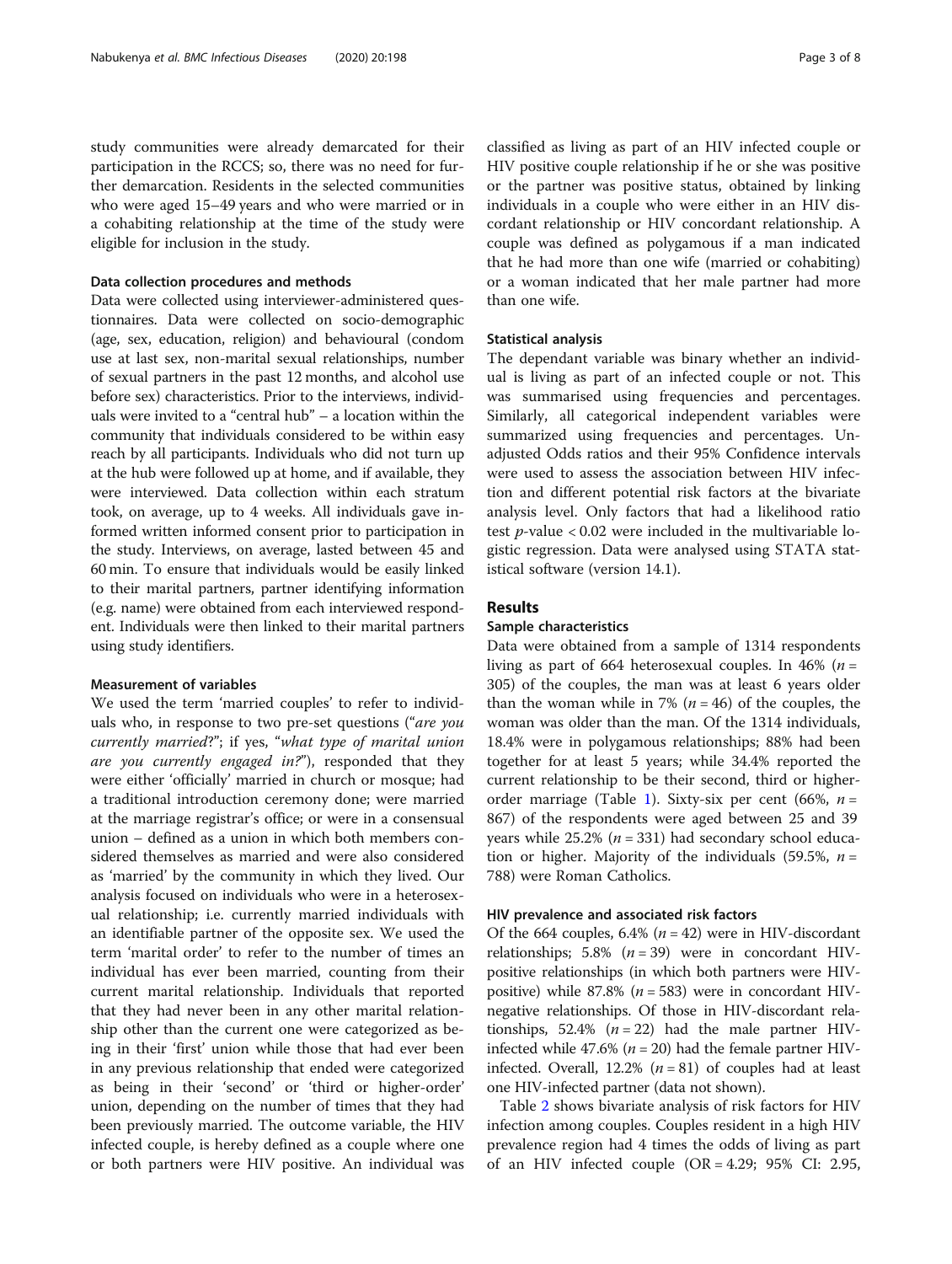study communities were already demarcated for their participation in the RCCS; so, there was no need for further demarcation. Residents in the selected communities who were aged 15–49 years and who were married or in a cohabiting relationship at the time of the study were eligible for inclusion in the study.

#### Data collection procedures and methods

Data were collected using interviewer-administered questionnaires. Data were collected on socio-demographic (age, sex, education, religion) and behavioural (condom use at last sex, non-marital sexual relationships, number of sexual partners in the past 12 months, and alcohol use before sex) characteristics. Prior to the interviews, individuals were invited to a "central hub" – a location within the community that individuals considered to be within easy reach by all participants. Individuals who did not turn up at the hub were followed up at home, and if available, they were interviewed. Data collection within each stratum took, on average, up to 4 weeks. All individuals gave informed written informed consent prior to participation in the study. Interviews, on average, lasted between 45 and 60 min. To ensure that individuals would be easily linked to their marital partners, partner identifying information (e.g. name) were obtained from each interviewed respondent. Individuals were then linked to their marital partners using study identifiers.

# Measurement of variables

We used the term 'married couples' to refer to individuals who, in response to two pre-set questions ("are you currently married?"; if yes, "what type of marital union are you currently engaged in?"), responded that they were either 'officially' married in church or mosque; had a traditional introduction ceremony done; were married at the marriage registrar's office; or were in a consensual union – defined as a union in which both members considered themselves as married and were also considered as 'married' by the community in which they lived. Our analysis focused on individuals who were in a heterosexual relationship; i.e. currently married individuals with an identifiable partner of the opposite sex. We used the term 'marital order' to refer to the number of times an individual has ever been married, counting from their current marital relationship. Individuals that reported that they had never been in any other marital relationship other than the current one were categorized as being in their 'first' union while those that had ever been in any previous relationship that ended were categorized as being in their 'second' or 'third or higher-order' union, depending on the number of times that they had been previously married. The outcome variable, the HIV infected couple, is hereby defined as a couple where one or both partners were HIV positive. An individual was

classified as living as part of an HIV infected couple or HIV positive couple relationship if he or she was positive or the partner was positive status, obtained by linking individuals in a couple who were either in an HIV discordant relationship or HIV concordant relationship. A couple was defined as polygamous if a man indicated that he had more than one wife (married or cohabiting) or a woman indicated that her male partner had more than one wife.

# Statistical analysis

The dependant variable was binary whether an individual is living as part of an infected couple or not. This was summarised using frequencies and percentages. Similarly, all categorical independent variables were summarized using frequencies and percentages. Unadjusted Odds ratios and their 95% Confidence intervals were used to assess the association between HIV infection and different potential risk factors at the bivariate analysis level. Only factors that had a likelihood ratio test  $p$ -value < 0.02 were included in the multivariable logistic regression. Data were analysed using STATA statistical software (version 14.1).

# Results

#### Sample characteristics

Data were obtained from a sample of 1314 respondents living as part of 664 heterosexual couples. In 46% ( $n =$ 305) of the couples, the man was at least 6 years older than the woman while in 7% ( $n = 46$ ) of the couples, the woman was older than the man. Of the 1314 individuals, 18.4% were in polygamous relationships; 88% had been together for at least 5 years; while 34.4% reported the current relationship to be their second, third or higher-order marriage (Table [1\)](#page-3-0). Sixty-six per cent (66%,  $n =$ 867) of the respondents were aged between 25 and 39 years while  $25.2\%$  ( $n = 331$ ) had secondary school education or higher. Majority of the individuals (59.5%,  $n =$ 788) were Roman Catholics.

# HIV prevalence and associated risk factors

Of the 664 couples, 6.4% ( $n = 42$ ) were in HIV-discordant relationships; 5.8%  $(n = 39)$  were in concordant HIVpositive relationships (in which both partners were HIVpositive) while 87.8% ( $n = 583$ ) were in concordant HIVnegative relationships. Of those in HIV-discordant relationships, 52.4%  $(n = 22)$  had the male partner HIVinfected while 47.6% ( $n = 20$ ) had the female partner HIVinfected. Overall, 12.2% ( $n = 81$ ) of couples had at least one HIV-infected partner (data not shown).

Table [2](#page-4-0) shows bivariate analysis of risk factors for HIV infection among couples. Couples resident in a high HIV prevalence region had 4 times the odds of living as part of an HIV infected couple  $(OR = 4.29; 95\% \text{ CI: } 2.95,$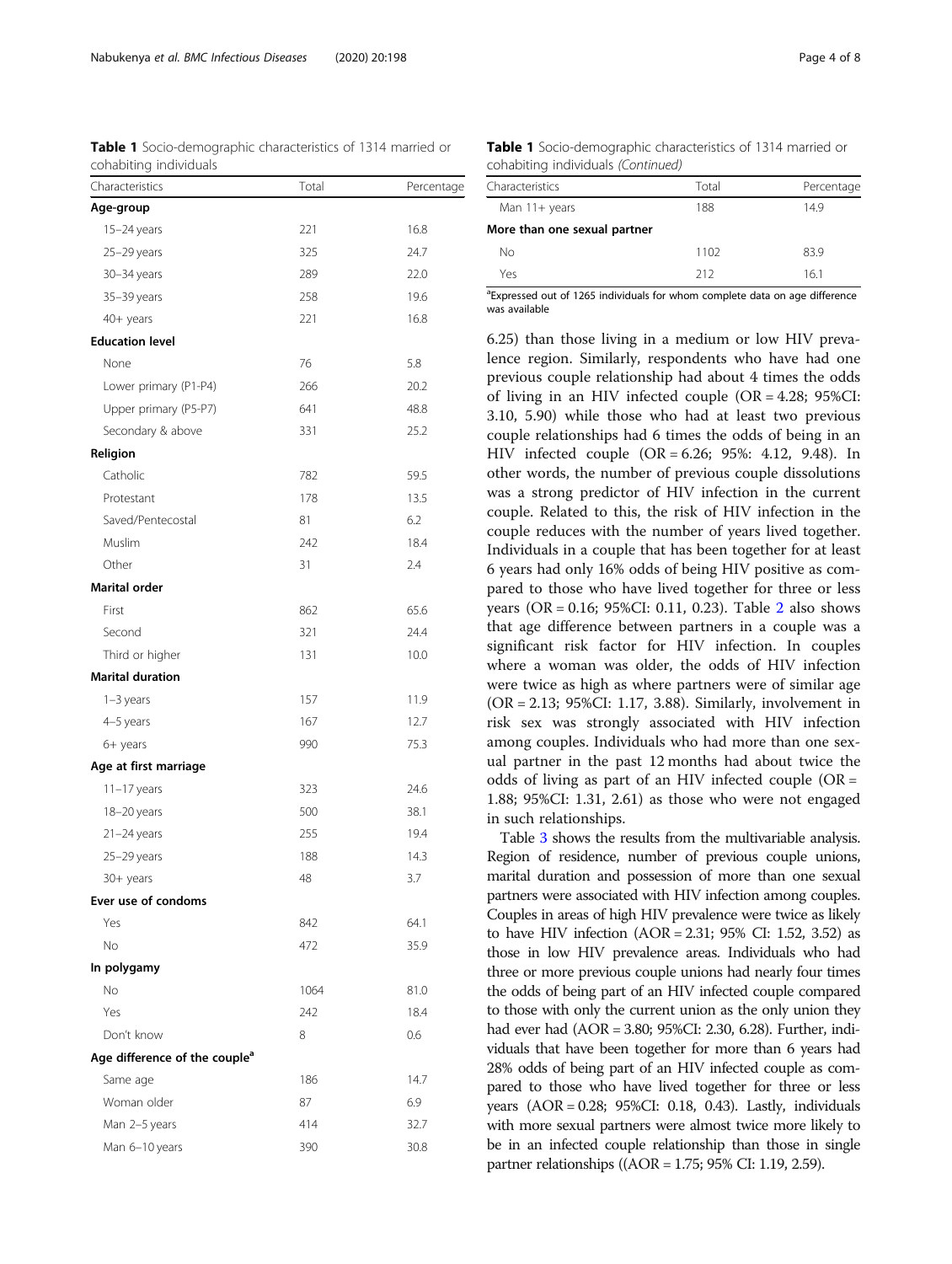<span id="page-3-0"></span>Table 1 Socio-demographic characteristics of 1314 married or cohabiting individuals

| Total | Percentage |
|-------|------------|
|       |            |
| 221   | 16.8       |
| 325   | 24.7       |
| 289   | 22.0       |
| 258   | 19.6       |
| 221   | 16.8       |
|       |            |
| 76    | 5.8        |
| 266   | 20.2       |
| 641   | 48.8       |
| 331   | 25.2       |
|       |            |
| 782   | 59.5       |
| 178   | 13.5       |
| 81    | 6.2        |
| 242   | 18.4       |
| 31    | 2.4        |
|       |            |
| 862   | 65.6       |
| 321   | 24.4       |
| 131   | 10.0       |
|       |            |
| 157   | 11.9       |
| 167   | 12.7       |
| 990   | 75.3       |
|       |            |
| 323   | 24.6       |
| 500   | 38.1       |
| 255   | 19.4       |
| 188   | 14.3       |
| 48    | 3.7        |
|       |            |
| 842   | 64.1       |
| 472   | 35.9       |
|       |            |
| 1064  | 81.0       |
| 242   | 18.4       |
| 8     | 0.6        |
|       |            |
| 186   | 14.7       |
| 87    | 6.9        |
| 414   | 32.7       |
| 390   | 30.8       |
|       |            |

Table 1 Socio-demographic characteristics of 1314 married or cohabiting individuals (Continued)

| Characteristics              | Total | Percentage |
|------------------------------|-------|------------|
| Man $11 +$ years             | 188   | 14.9       |
| More than one sexual partner |       |            |
| Nο                           | 1102  | 83.9       |
| Yes                          | 212   | 16.1       |

<sup>a</sup> Expressed out of 1265 individuals for whom complete data on age difference was available

6.25) than those living in a medium or low HIV prevalence region. Similarly, respondents who have had one previous couple relationship had about 4 times the odds of living in an HIV infected couple (OR = 4.28; 95%CI: 3.10, 5.90) while those who had at least two previous couple relationships had 6 times the odds of being in an HIV infected couple (OR = 6.26; 95%: 4.12, 9.48). In other words, the number of previous couple dissolutions was a strong predictor of HIV infection in the current couple. Related to this, the risk of HIV infection in the couple reduces with the number of years lived together. Individuals in a couple that has been together for at least 6 years had only 16% odds of being HIV positive as compared to those who have lived together for three or less years (OR = 0.16; 95%CI: 0.11, 0.23). Table [2](#page-4-0) also shows that age difference between partners in a couple was a significant risk factor for HIV infection. In couples where a woman was older, the odds of HIV infection were twice as high as where partners were of similar age (OR = 2.13; 95%CI: 1.17, 3.88). Similarly, involvement in risk sex was strongly associated with HIV infection among couples. Individuals who had more than one sexual partner in the past 12 months had about twice the odds of living as part of an HIV infected couple  $(OR =$ 1.88; 95%CI: 1.31, 2.61) as those who were not engaged in such relationships.

Table [3](#page-5-0) shows the results from the multivariable analysis. Region of residence, number of previous couple unions, marital duration and possession of more than one sexual partners were associated with HIV infection among couples. Couples in areas of high HIV prevalence were twice as likely to have HIV infection  $(AOR = 2.31; 95\% \text{ CI: } 1.52, 3.52)$  as those in low HIV prevalence areas. Individuals who had three or more previous couple unions had nearly four times the odds of being part of an HIV infected couple compared to those with only the current union as the only union they had ever had (AOR = 3.80; 95%CI: 2.30, 6.28). Further, individuals that have been together for more than 6 years had 28% odds of being part of an HIV infected couple as compared to those who have lived together for three or less years (AOR = 0.28; 95%CI: 0.18, 0.43). Lastly, individuals with more sexual partners were almost twice more likely to be in an infected couple relationship than those in single partner relationships ((AOR = 1.75; 95% CI: 1.19, 2.59).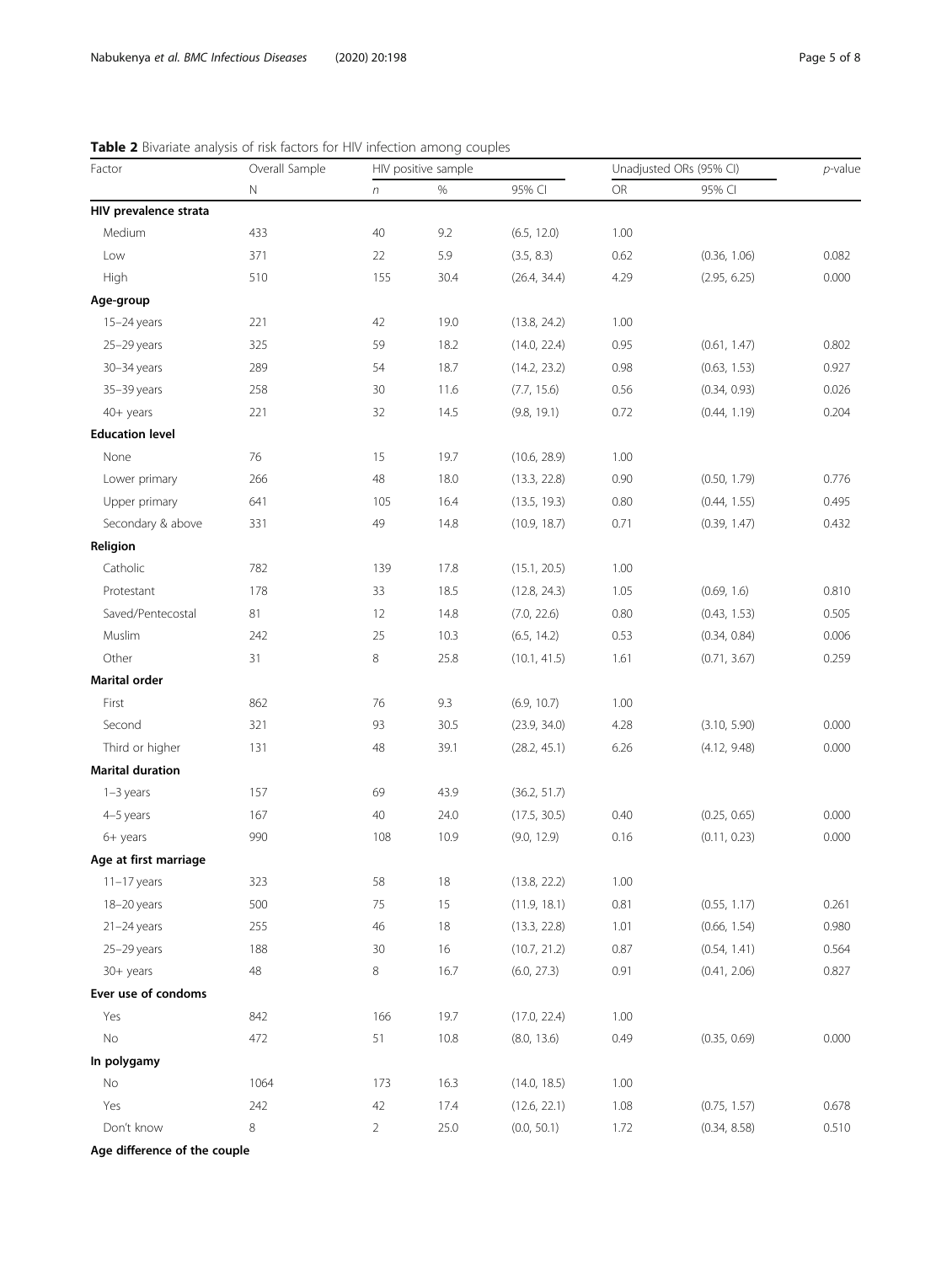<span id="page-4-0"></span>Table 2 Bivariate analysis of risk factors for HIV infection among couples

| Factor                  | Overall Sample<br>$\mathbb N$ | HIV positive sample |      |              | Unadjusted ORs (95% CI) |              | $p$ -value |
|-------------------------|-------------------------------|---------------------|------|--------------|-------------------------|--------------|------------|
|                         |                               | $\sqrt{n}$          | $\%$ | 95% CI       | OR                      | 95% CI       |            |
| HIV prevalence strata   |                               |                     |      |              |                         |              |            |
| Medium                  | 433                           | 40                  | 9.2  | (6.5, 12.0)  | 1.00                    |              |            |
| Low                     | 371                           | 22                  | 5.9  | (3.5, 8.3)   | 0.62                    | (0.36, 1.06) | 0.082      |
| High                    | 510                           | 155                 | 30.4 | (26.4, 34.4) | 4.29                    | (2.95, 6.25) | 0.000      |
| Age-group               |                               |                     |      |              |                         |              |            |
| 15-24 years             | 221                           | 42                  | 19.0 | (13.8, 24.2) | 1.00                    |              |            |
| 25-29 years             | 325                           | 59                  | 18.2 | (14.0, 22.4) | 0.95                    | (0.61, 1.47) | 0.802      |
| $30 - 34$ years         | 289                           | 54                  | 18.7 | (14.2, 23.2) | 0.98                    | (0.63, 1.53) | 0.927      |
| 35-39 years             | 258                           | 30                  | 11.6 | (7.7, 15.6)  | 0.56                    | (0.34, 0.93) | 0.026      |
| $40+$ years             | 221                           | 32                  | 14.5 | (9.8, 19.1)  | 0.72                    | (0.44, 1.19) | 0.204      |
| <b>Education level</b>  |                               |                     |      |              |                         |              |            |
| None                    | 76                            | 15                  | 19.7 | (10.6, 28.9) | 1.00                    |              |            |
| Lower primary           | 266                           | 48                  | 18.0 | (13.3, 22.8) | 0.90                    | (0.50, 1.79) | 0.776      |
| Upper primary           | 641                           | 105                 | 16.4 | (13.5, 19.3) | 0.80                    | (0.44, 1.55) | 0.495      |
| Secondary & above       | 331                           | 49                  | 14.8 | (10.9, 18.7) | 0.71                    | (0.39, 1.47) | 0.432      |
| Religion                |                               |                     |      |              |                         |              |            |
| Catholic                | 782                           | 139                 | 17.8 | (15.1, 20.5) | 1.00                    |              |            |
| Protestant              | 178                           | 33                  | 18.5 | (12.8, 24.3) | 1.05                    | (0.69, 1.6)  | 0.810      |
| Saved/Pentecostal       | 81                            | 12                  | 14.8 | (7.0, 22.6)  | 0.80                    | (0.43, 1.53) | 0.505      |
| Muslim                  | 242                           | 25                  | 10.3 | (6.5, 14.2)  | 0.53                    | (0.34, 0.84) | 0.006      |
| Other                   | 31                            | 8                   | 25.8 | (10.1, 41.5) | 1.61                    | (0.71, 3.67) | 0.259      |
| Marital order           |                               |                     |      |              |                         |              |            |
| First                   | 862                           | 76                  | 9.3  | (6.9, 10.7)  | 1.00                    |              |            |
| Second                  | 321                           | 93                  | 30.5 | (23.9, 34.0) | 4.28                    | (3.10, 5.90) | 0.000      |
| Third or higher         | 131                           | 48                  | 39.1 | (28.2, 45.1) | 6.26                    | (4.12, 9.48) | 0.000      |
| <b>Marital duration</b> |                               |                     |      |              |                         |              |            |
| $1-3$ years             | 157                           | 69                  | 43.9 | (36.2, 51.7) |                         |              |            |
| 4-5 years               | 167                           | 40                  | 24.0 | (17.5, 30.5) | 0.40                    | (0.25, 0.65) | 0.000      |
| 6+ years                | 990                           | 108                 | 10.9 | (9.0, 12.9)  | 0.16                    | (0.11, 0.23) | 0.000      |
| Age at first marriage   |                               |                     |      |              |                         |              |            |
| $11-17$ years           | 323                           | 58                  | 18   | (13.8, 22.2) | 1.00                    |              |            |
| 18-20 years             | 500                           | 75                  | 15   | (11.9, 18.1) | 0.81                    | (0.55, 1.17) | 0.261      |
| $21 - 24$ years         | 255                           | 46                  | 18   | (13.3, 22.8) | 1.01                    | (0.66, 1.54) | 0.980      |
| 25-29 years             | 188                           | 30                  | 16   | (10.7, 21.2) | 0.87                    | (0.54, 1.41) | 0.564      |
| 30+ years               | 48                            | 8                   | 16.7 | (6.0, 27.3)  | 0.91                    | (0.41, 2.06) | 0.827      |
| Ever use of condoms     |                               |                     |      |              |                         |              |            |
| Yes                     | 842                           | 166                 | 19.7 | (17.0, 22.4) | 1.00                    |              |            |
| <b>No</b>               | 472                           | 51                  | 10.8 | (8.0, 13.6)  | 0.49                    | (0.35, 0.69) | 0.000      |
| In polygamy             |                               |                     |      |              |                         |              |            |
| No                      | 1064                          | 173                 | 16.3 | (14.0, 18.5) | 1.00                    |              |            |
| Yes                     | 242                           | 42                  | 17.4 | (12.6, 22.1) | 1.08                    | (0.75, 1.57) | 0.678      |
| Don't know              | 8                             | $\overline{2}$      | 25.0 | (0.0, 50.1)  | 1.72                    | (0.34, 8.58) | 0.510      |
|                         |                               |                     |      |              |                         |              |            |

Age difference of the couple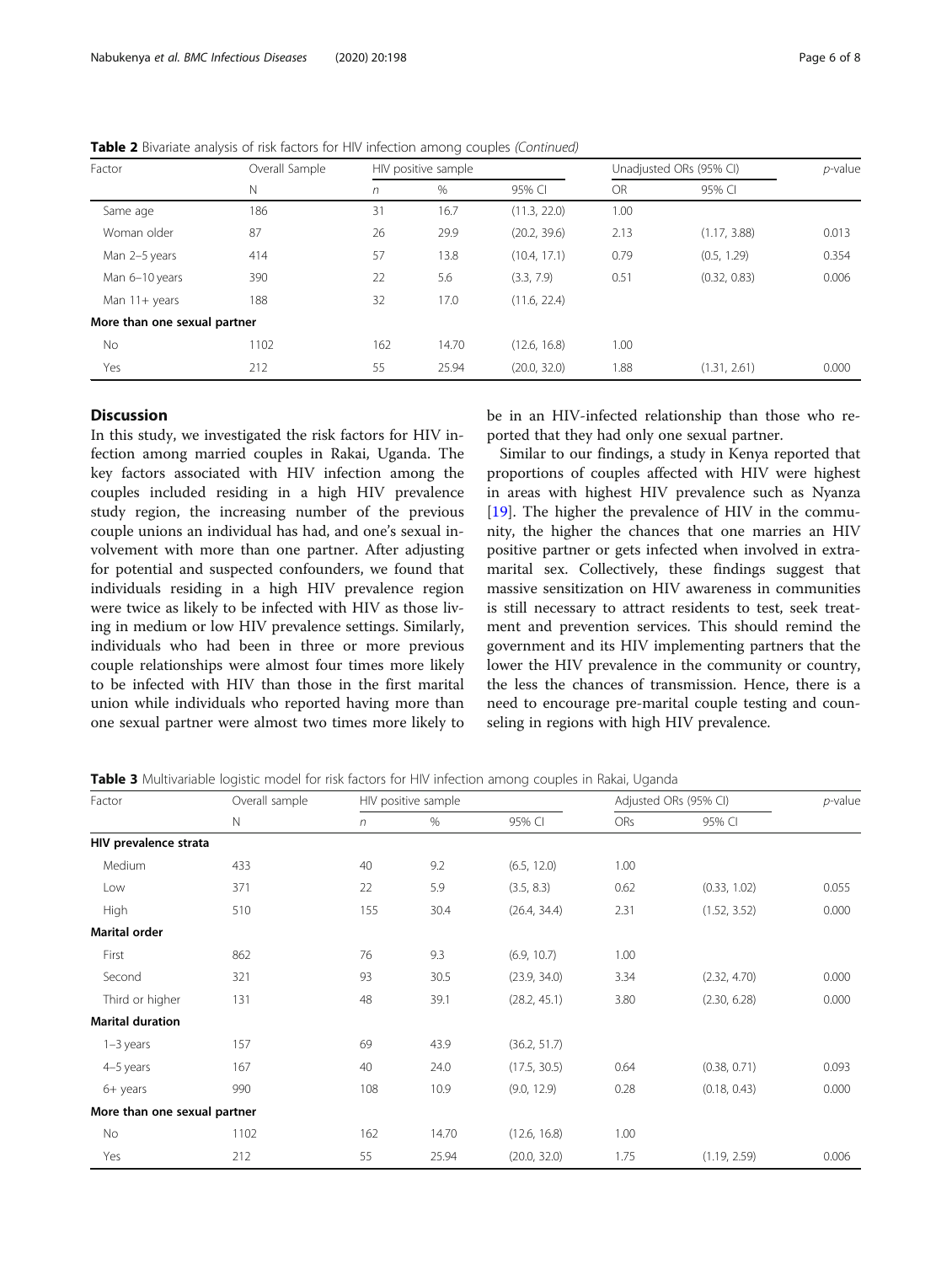| Factor<br>N                  | Overall Sample | HIV positive sample |       |              | Unadjusted ORs (95% CI) |              | $p$ -value |
|------------------------------|----------------|---------------------|-------|--------------|-------------------------|--------------|------------|
|                              |                | $\sqrt{n}$          | $\%$  | 95% CI       | <b>OR</b>               | 95% CI       |            |
| Same age                     | 186            | 31                  | 16.7  | (11.3, 22.0) | 1.00                    |              |            |
| Woman older                  | 87             | 26                  | 29.9  | (20.2, 39.6) | 2.13                    | (1.17, 3.88) | 0.013      |
| Man 2-5 years                | 414            | 57                  | 13.8  | (10.4, 17.1) | 0.79                    | (0.5, 1.29)  | 0.354      |
| Man 6-10 years               | 390            | 22                  | 5.6   | (3.3, 7.9)   | 0.51                    | (0.32, 0.83) | 0.006      |
| Man 11+ years                | 188            | 32                  | 17.0  | (11.6, 22.4) |                         |              |            |
| More than one sexual partner |                |                     |       |              |                         |              |            |
| No.                          | 1102           | 162                 | 14.70 | (12.6, 16.8) | 1.00                    |              |            |
| Yes                          | 212            | 55                  | 25.94 | (20.0, 32.0) | 1.88                    | (1.31, 2.61) | 0.000      |

<span id="page-5-0"></span>Table 2 Bivariate analysis of risk factors for HIV infection among couples (Continued)

#### **Discussion**

In this study, we investigated the risk factors for HIV infection among married couples in Rakai, Uganda. The key factors associated with HIV infection among the couples included residing in a high HIV prevalence study region, the increasing number of the previous couple unions an individual has had, and one's sexual involvement with more than one partner. After adjusting for potential and suspected confounders, we found that individuals residing in a high HIV prevalence region were twice as likely to be infected with HIV as those living in medium or low HIV prevalence settings. Similarly, individuals who had been in three or more previous couple relationships were almost four times more likely to be infected with HIV than those in the first marital union while individuals who reported having more than one sexual partner were almost two times more likely to be in an HIV-infected relationship than those who reported that they had only one sexual partner.

Similar to our findings, a study in Kenya reported that proportions of couples affected with HIV were highest in areas with highest HIV prevalence such as Nyanza [[19\]](#page-7-0). The higher the prevalence of HIV in the community, the higher the chances that one marries an HIV positive partner or gets infected when involved in extramarital sex. Collectively, these findings suggest that massive sensitization on HIV awareness in communities is still necessary to attract residents to test, seek treatment and prevention services. This should remind the government and its HIV implementing partners that the lower the HIV prevalence in the community or country, the less the chances of transmission. Hence, there is a need to encourage pre-marital couple testing and counseling in regions with high HIV prevalence.

Table 3 Multivariable logistic model for risk factors for HIV infection among couples in Rakai, Uganda

| Factor                       | Overall sample | HIV positive sample |       |              | Adjusted ORs (95% CI) |              | $p$ -value |
|------------------------------|----------------|---------------------|-------|--------------|-----------------------|--------------|------------|
|                              | N              | n                   | $\%$  | 95% CI       | <b>ORs</b>            | 95% CI       |            |
| HIV prevalence strata        |                |                     |       |              |                       |              |            |
| Medium                       | 433            | 40                  | 9.2   | (6.5, 12.0)  | 1.00                  |              |            |
| Low                          | 371            | 22                  | 5.9   | (3.5, 8.3)   | 0.62                  | (0.33, 1.02) | 0.055      |
| High                         | 510            | 155                 | 30.4  | (26.4, 34.4) | 2.31                  | (1.52, 3.52) | 0.000      |
| <b>Marital order</b>         |                |                     |       |              |                       |              |            |
| First                        | 862            | 76                  | 9.3   | (6.9, 10.7)  | 1.00                  |              |            |
| Second                       | 321            | 93                  | 30.5  | (23.9, 34.0) | 3.34                  | (2.32, 4.70) | 0.000      |
| Third or higher              | 131            | 48                  | 39.1  | (28.2, 45.1) | 3.80                  | (2.30, 6.28) | 0.000      |
| <b>Marital duration</b>      |                |                     |       |              |                       |              |            |
| $1-3$ years                  | 157            | 69                  | 43.9  | (36.2, 51.7) |                       |              |            |
| 4-5 years                    | 167            | 40                  | 24.0  | (17.5, 30.5) | 0.64                  | (0.38, 0.71) | 0.093      |
| 6+ years                     | 990            | 108                 | 10.9  | (9.0, 12.9)  | 0.28                  | (0.18, 0.43) | 0.000      |
| More than one sexual partner |                |                     |       |              |                       |              |            |
| No                           | 1102           | 162                 | 14.70 | (12.6, 16.8) | 1.00                  |              |            |
| Yes                          | 212            | 55                  | 25.94 | (20.0, 32.0) | 1.75                  | (1.19, 2.59) | 0.006      |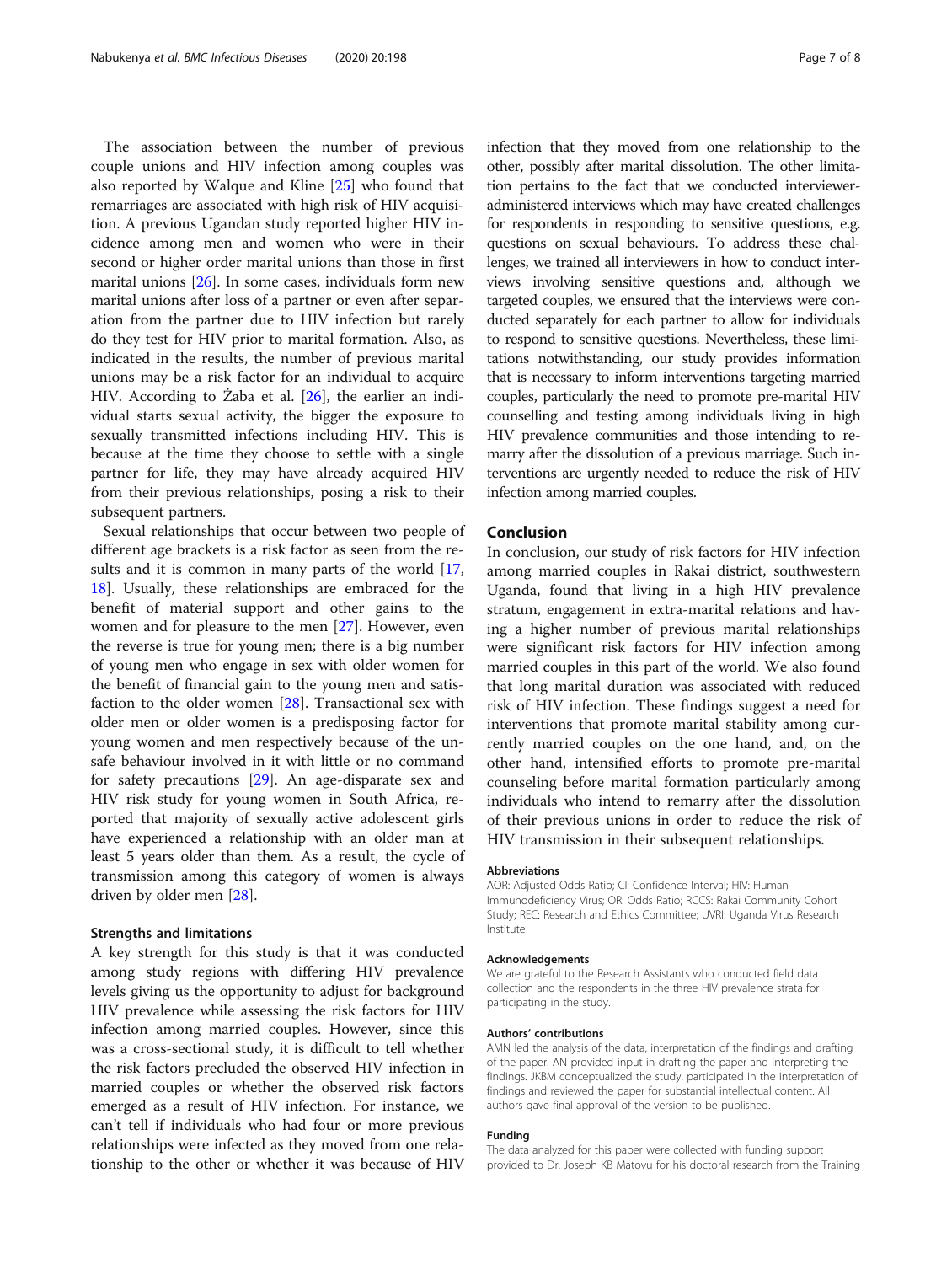The association between the number of previous couple unions and HIV infection among couples was also reported by Walque and Kline [[25](#page-7-0)] who found that remarriages are associated with high risk of HIV acquisition. A previous Ugandan study reported higher HIV incidence among men and women who were in their second or higher order marital unions than those in first marital unions [[26\]](#page-7-0). In some cases, individuals form new marital unions after loss of a partner or even after separation from the partner due to HIV infection but rarely do they test for HIV prior to marital formation. Also, as indicated in the results, the number of previous marital unions may be a risk factor for an individual to acquire HIV. According to Żaba et al. [\[26](#page-7-0)], the earlier an individual starts sexual activity, the bigger the exposure to sexually transmitted infections including HIV. This is because at the time they choose to settle with a single partner for life, they may have already acquired HIV from their previous relationships, posing a risk to their subsequent partners.

Sexual relationships that occur between two people of different age brackets is a risk factor as seen from the re-sults and it is common in many parts of the world [[17](#page-7-0), [18\]](#page-7-0). Usually, these relationships are embraced for the benefit of material support and other gains to the women and for pleasure to the men [[27](#page-7-0)]. However, even the reverse is true for young men; there is a big number of young men who engage in sex with older women for the benefit of financial gain to the young men and satisfaction to the older women [[28\]](#page-7-0). Transactional sex with older men or older women is a predisposing factor for young women and men respectively because of the unsafe behaviour involved in it with little or no command for safety precautions [[29\]](#page-7-0). An age-disparate sex and HIV risk study for young women in South Africa, reported that majority of sexually active adolescent girls have experienced a relationship with an older man at least 5 years older than them. As a result, the cycle of transmission among this category of women is always driven by older men [[28\]](#page-7-0).

#### Strengths and limitations

A key strength for this study is that it was conducted among study regions with differing HIV prevalence levels giving us the opportunity to adjust for background HIV prevalence while assessing the risk factors for HIV infection among married couples. However, since this was a cross-sectional study, it is difficult to tell whether the risk factors precluded the observed HIV infection in married couples or whether the observed risk factors emerged as a result of HIV infection. For instance, we can't tell if individuals who had four or more previous relationships were infected as they moved from one relationship to the other or whether it was because of HIV infection that they moved from one relationship to the other, possibly after marital dissolution. The other limitation pertains to the fact that we conducted intervieweradministered interviews which may have created challenges for respondents in responding to sensitive questions, e.g. questions on sexual behaviours. To address these challenges, we trained all interviewers in how to conduct interviews involving sensitive questions and, although we targeted couples, we ensured that the interviews were conducted separately for each partner to allow for individuals to respond to sensitive questions. Nevertheless, these limitations notwithstanding, our study provides information that is necessary to inform interventions targeting married couples, particularly the need to promote pre-marital HIV counselling and testing among individuals living in high HIV prevalence communities and those intending to remarry after the dissolution of a previous marriage. Such interventions are urgently needed to reduce the risk of HIV infection among married couples.

# Conclusion

In conclusion, our study of risk factors for HIV infection among married couples in Rakai district, southwestern Uganda, found that living in a high HIV prevalence stratum, engagement in extra-marital relations and having a higher number of previous marital relationships were significant risk factors for HIV infection among married couples in this part of the world. We also found that long marital duration was associated with reduced risk of HIV infection. These findings suggest a need for interventions that promote marital stability among currently married couples on the one hand, and, on the other hand, intensified efforts to promote pre-marital counseling before marital formation particularly among individuals who intend to remarry after the dissolution of their previous unions in order to reduce the risk of HIV transmission in their subsequent relationships.

#### Abbreviations

AOR: Adjusted Odds Ratio; CI: Confidence Interval; HIV: Human Immunodeficiency Virus; OR: Odds Ratio; RCCS: Rakai Community Cohort Study; REC: Research and Ethics Committee; UVRI: Uganda Virus Research Institute

#### Acknowledgements

We are grateful to the Research Assistants who conducted field data collection and the respondents in the three HIV prevalence strata for participating in the study.

#### Authors' contributions

AMN led the analysis of the data, interpretation of the findings and drafting of the paper. AN provided input in drafting the paper and interpreting the findings. JKBM conceptualized the study, participated in the interpretation of findings and reviewed the paper for substantial intellectual content. All authors gave final approval of the version to be published.

#### Funding

The data analyzed for this paper were collected with funding support provided to Dr. Joseph KB Matovu for his doctoral research from the Training